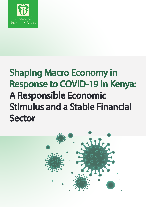

## Shaping Macro Economy in Response to COVID-19 in Kenya: A Responsible Economic Stimulus and a Stable Financial Sector

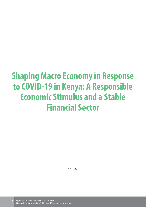## **Shaping Macro Economy in Response to COVID-19 in Kenya: A Responsible Economic Stimulus and a Stable Financial Sector**

©2022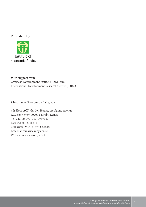#### **Published by**



#### **With support from**  Overseas Development Institute (ODI) and International Development Research Centre (IDRC)

©Institute of Economic Affairs, 2022

5th Floor ACK Garden House, 1st Ngong Avenue P.O. Box 53989-00200 Nairobi, Kenya Tel: 242-20-2721262, 2717402 Fax: 254-20-2716231 Cell: 0724-256510, 0733-272126 Email: admin@ieakenya.or.ke Website: www.ieakenya.or.ke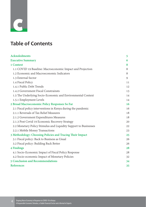# **c**

## **Table of Contents**

| <b>Acknoledments</b>                                             | 5  |
|------------------------------------------------------------------|----|
| <b>Executive Summary</b>                                         | 6  |
| 1 Context                                                        | 8  |
| 1.1 COVID 19 Baseline: Macroeconomic Impact and Projection       | 8  |
| 1.2 Economic and Macroeconomic Indicators                        | 8  |
| 1.3 External Sector                                              | 9  |
| 1.4 Fiscal Policy                                                | 11 |
| 1.4.1 Public Debt Trends                                         | 12 |
| 1.4.2 Government Fiscal Constrainsts                             | 13 |
| 1.5 The Underlying Socio-Economic and Environmental Context      | 14 |
| 1.5.1 Employment Levels                                          | 14 |
| 2 Broad Macroeconomic Policy Responses So Far                    | 16 |
| 2.1 Fiscal policy interventions in Kenya during the pandemic     | 16 |
| 2.1.1 Reversals of Tax Relief Measures                           | 18 |
| 2.1.2 Government Expenditures Measures                           | 18 |
| 2.1.3 Post Covid 19 Economic Recovery Strategy                   | 20 |
| 2.2 Monetary Policy Stimulus and Liquidity Support to Businesses | 22 |
| 2.2.1 Mobile Money Transactions                                  | 23 |
| 3 Methodology: Choosing Policies and Tracing Their Impact        | 25 |
| 3.1 Fiscal policy: Back to Business as Usual                     | 26 |
| 3.2 Fiscal policy: Building Back Better                          | 26 |
| 4 Findings                                                       | 28 |
| 4.1 Socio-Economic Impact of Fiscal Policy Response              | 28 |
| 4.2 Socio-economic Impact of Monetary Policies                   | 32 |
| <b>5 Conclusion and Recommendations</b>                          | 34 |
| <b>References</b>                                                | 35 |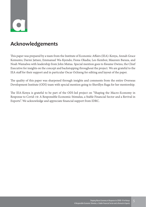

### **Acknowledgements**

This paper was prepared by a team from the Institute of Economic Affairs (IEA)-Kenya, Annah Grace Kemunto; Darmi Jattani, Emmanuel Wa-Kyendo; Fiona Okadia; Leo Kemboi; Maureen Baraza, and Noah Wamalwa with leadership from John Mutua. Special mention goes to Kwame Owino, the Chief Executive for insights on the concept and backstopping throughout the project. We are grateful to the IEA staff for their support and in particular Oscar Ochieng for editing and layout of the paper.

The quality of this paper was sharpened through insights and comments from the entire Overseas Development Institute (ODI) team with special mention going to Sherillyn Raga for her mentorship.

The IEA-Kenya is grateful to be part of the ODI-led project on "Shaping the Macro-Economy in Response to Covid-19: A Responsible Economic Stimulus, a Stable Financial Sector and a Revival in Exports". We acknowledge and appreciate financial support from IDRC.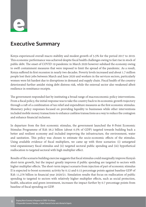

## **Executive Summary**

Kenya experienced overall macro stability and modest growth of 5.5% for the period 2017 to 2019. This economic performance was achieved despite fiscal health challenges owing to fast rise in stock of public debt. The onset of COVID 19 pandemic in March 2020 however subdued the economy owing to swift containment measures that were imposed to limit the spread of the pandemic. As a result, Kenya suffered its first recession in nearly two decades. Poverty levels increased and about 1.7 million people lost their jobs between March and June 2020 and workers in the services sectors, particularly women were hit hardest due to disruptions in demand and supply chain. Fiscal health of the country deteriorated further amidst rising debt distress risk, while the external sector also weakened albeit resilience in remittance receipts.

The government responded fast by instituting a broad range of macroeconomic policy interventions. From a fiscal policy, the initial response was to take the country back to its economic growth trajectory through a raft of a combination of tax relief and expenditure measures as the first economic stimulus. Monetary policy responses focused on providing liquidity to businesses while other interventions included mobile money transactions to enhance cashless transactions as a way to reduce the contagion and enhance financial inclusion.

In departure from the first economic stimulus, the government launched the 8-Point Economic Stimulus Programme of Ksh 56.2 billion (about 0.5% of GDP) targeted towards building back a better and resilient economy and included improving the infrastructure, the environment, water and sanitation. This policy was chosen to estimate the socio-economic effects of the stimulus. Using available evidence of fiscal multipliers, we came up with three scenarios: (i) untargeted total expansionary fiscal stimulus and (ii) targeted sectoral public spending and (iii) hypothetical reallocation to targeted sectoral with high multiplier effect.

Results of the scenario building exercise suggests that fiscal stimulus could marginally improve Kenya's short-term growth, but the impact greatly improves if public spending are targeted to sectors with higher multiplier effects. The short-term impact scenario from injection of part of economic stimulus II is expected to boost economic activity by 0.12 and 0.15 percentage points against baseline GDP of Ksh 11,276 billion in financial year 2020/21. Simulation results that focus on reallocation of public spending to targeted to sectors with relatively higher multiplier effects, such as social protection, health, education and green investment, increases the impact further by 0.7 percentage points from baseline of fiscal spending on GDP.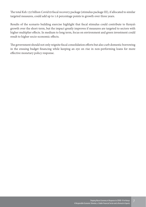The total Ksh 132 billion Covid19 fiscal recovery package (stimulus package III), if allocated to similar targeted measures, could add up to 1.6 percentage points to growth over three years.

Results of the scenario building exercise highlight that fiscal stimulus could contribute to Kenya's growth over the short-term, but the impact greatly improves if measures are targeted to sectors with higher multiplier effects. In medium to long term, focus on environment and green investment could result to higher socio-economic effects.

The government should not only reignite fiscal consolidation efforts but also curb domestic borrowing in the ensuing budget financing while keeping an eye on rise in non-performing loans for more effective monetary policy response.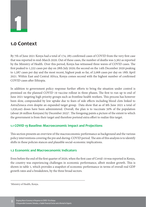## **1.0 Context**

**1**

By 7th of June 2021 Kenya had a total of 174, 285 confirmed cases of COVID from the very first case that was reported in mid-March 2020. Out of these cases, the number of deaths was 3,362 as reported by the Ministry of Health. Over this period, Kenya has witnessed three waves of COVID cases. The first peaked to 1,332 cases per day on 28th July 2020; the second on the 14th December 2020 peaking to 1,587 cases per day and the most recent, highest peak so far, of 2,068 cases per day on 18th April 2021. Within East and Central Africa, Kenya comes second with the highest number of confirmed COVID cases after Ethiopia.

In addition to government policy response further efforts to bring the situation under control is premised on the planned COVID 19 vaccine rollout in three phases. The first to run up to end of June 2021 targeting high priority groups such as frontline health workers. This process has however been slow, compounded by low uptake due to fears of side effects including blood clots linked to AstraZeneca even despite an expanded target group. Data show that as of 9th June 2021 a total of 1,030,445 doses have been administered. Overall, the plan is to vaccinate 50% of the population (about 26 million Kenyans) by December 2022<sup>1</sup>. The foregoing paints a picture of the extent to which the government is from their target and therefore portend extra effort to realize this target.

#### **1.1 COVID 19 Baseline: Macroeconomic Impact and Projections**

This section presents an overview of the macroeconomic performance as background and the various policy interventions covering the pre and during-COVID period. The aim of this analysis is to identify shifts in these policies stances and plausible social-economic implications.

#### **1.2 Economic and Macroeconomic Indicators**

Even before the end of the first quarter of 2020, when the first case of Covid-19 was reported in Kenya, the country was experiencing challenges in economic performance, albeit modest growth. This is shown in table 1, which provides a snapshot of economic performance in terms of overall real GDP growth rates and a breakdown, by the three broad sectors.

1 Ministry of Health, Kenya.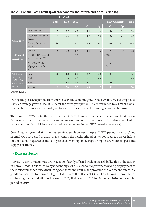#### **Table 1: Pre and Post COVID-19 Macroeconomic Indicators, 2017-2020 Period (%)**

|                              |                                                  | Pre-Covid |      |      |     |        |                |                |        |
|------------------------------|--------------------------------------------------|-----------|------|------|-----|--------|----------------|----------------|--------|
|                              |                                                  | 2017      | 2018 | 2019 |     |        | 2020 Quarterly | 2020           |        |
|                              |                                                  |           |      |      | Q1  | Q2     | Q <sub>3</sub> | Q <sub>4</sub> |        |
|                              | Primary Sector                                   | 2.0       | 6.2  | 3.6  | 4.4 | 4.9    | 4.3            | 6.0            | 4.9    |
|                              | Secondary (industry)<br>Sector                   | 3.8       | 5.5  | 4.8  | 4.7 | $-0.5$ | 3.3            | 7.7            | 3.8    |
| % Real GDP                   | Tertiary (services)<br>Sector                    | 6.0       | 6.7  | 6.6  | 3.8 | $-6.7$ | $-4.6$         | $-1.0$         | $-2.2$ |
|                              | Overall                                          | 4.9       | 6.3  | 5.4  | 4.4 | $-4.7$ | $-2.1$         | 1.2            | $-0.3$ |
| GDP growth<br>projections    | Pre COVID (date of<br>projection-Oct 2019)       |           |      | 5.6  |     |        | 6(2020)        |                |        |
|                              | Post COVID (date<br>of projection – Oct<br>2020) |           |      | 1.0  |     |        | 4.7<br>(2021)  |                |        |
| % Inflation                  | Core                                             | 0.8       | 1.0  | 0.4  | 0.7 | 0.6    | 0.5            |                | 0.8    |
| rate, Year-                  | Fuel                                             | 1.1       | 3.3  | 0.6  | 1.2 | 0.9    | 1.5            |                | 1.7    |
| on-Year (as<br>at the period | Food                                             | 3.1       | 1.3  | 4.5  | 4.3 | 3.0    | 2.0            |                | 2.9    |
| ended)                       | Overall                                          | 5.0       | 5.6  | 5.5  | 6.2 | 4.5    | 4.0            |                | 5.6    |

Source: KNBS

During the pre-covid period, from 2017 to 2019 the economy grew from 4.9% to 6.3% but dropped to 5.4%, an average growth rate of 5.5% for the three-year period. This is attributed to a similar overall trend in both primary and industry sectors with the services sector posting a more stable growth.

The onset of COVID in the first quarter of 2020 however dampened the economic situation. Government swift containment measures imposed to contain the spread of pandemic resulted to reduced economic activities as evidenced by contraction in real GDP growth (see table 1).

Overall year on year inflation rate has remained stable between the pre COVID period 2017-2019) and in amid COVID period in 2020, that is, within the neighborhood of 5% policy target. Nevertheless, food inflation in quarter 2 and 3 of year 2020 went up on average owing to dry weather spells and supply constraints.

#### **1.3 External Sector**

COVID 19 containment measures have significantly affected trade routes globally. This is the case in in Kenya. Trade is critical to Kenya's economy as it fuels economic growth, providing employment to the locals, which then raises their living standards and ensures the provision of a variety and affordable goods and services to Kenyans. Figure 1 illustrates the effects of COVID on Kenya's external sector contrasting the period after lockdown in 2020, that is April 2020 to December 2020 and a similar period in 2019.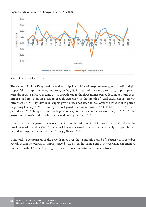

**Fig 1: Trends in Growth of Kenyan Trade, 2019-2020**

Source: Central Bank of Kenya,

The Central Bank of Kenya estimates that in April and May of 2019, imports grew by 20% and 4%, respectfully. In April of 2020, imports grew by 3%. By April of the same year 2020, import growth rates dropped to 15%. Averaging a -4% growth rate in the three month period leading to April 2020, imports had not been on a strong growth trajectory. In the month of April 2020, export growth rates were (-33%). By May 2020, export growth rates had risen to 9%. Over the three month period beginning January 2020, the average export growth rate was a positive 15%. Relative to the 3 month period year 2019, Kenya's overall trade position experienced a contraction over the year 2020. At the gross level, Kenya's trade position worsened during the year 2020.

Comparison of the growth rates over the 11 month period of April to December 2020 reflects the previous revelation that Kenya's trade position as measured by growth rates actually dropped. In that period, trade growth rates dropped from 5.76% to 4.62%.

Conversely a comparison of the growth rates over the 11 month period of February to December reveals that in the year 2019, imports grew by 0.28%. In that same period, the year 2020 experienced import growth of 0.86%. Import growth was stronger in 2020 than it was in 2019.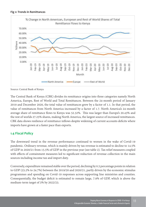



Source: Central Bank of Kenya

The Central Bank of Kenya (CBK) divides its remittance origins into three categories namely North America, Europe, Rest of World and Total Remittances. Between the 24-month period of January 2019 and December 2020, the total value of remittances grew by a factor of 1.1. In that period, the value of remittances from North America increased by a factor of 1.7. North America's 24-month average share of remittance flows to Kenya was 52.32%. This was larger than Europe's 20.43% and the rest of worlds 27.25% shares, making North America, the largest source of increased remittances. CBK data shows resilience of remittance inflows despite widening of current accounts deficits where imports have grown at a faster pace than exports.

#### **1.4 Fiscal Policy**

The downward trend in the revenue performance continued to worsen in the wake of Covid-19 pandemic. Ordinary revenue, which is mainly driven by tax revenue is estimated to decline to 14.5% of GDP in 2020/21 from 15.5% of GDP in the previous year (see table 2). Tax relief measures coupled with effects of containment measures led to significant reduction of revenue collection in the main sources including income tax and import duty.

Conversely, expenditure remained stable over the period, declining by 0.5 percentage points in relation to GDP (25.2% to 24.7%) between the 2019/20 and 2020/21, partly driven by the economic stimulus programmes and spending on Covid-19 responses across supporting line ministries and counties. Consequentially, the budget deficit is estimated to remain large, 7.9% of GDP, which is above the medium-term target of 3% by 2022/23.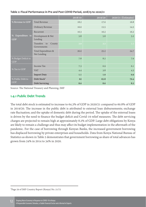|                                   |                                          | 2018/19 | 2019/20 | 2020/21 (Estimates) |
|-----------------------------------|------------------------------------------|---------|---------|---------------------|
| % Revenue to GDP                  | <b>Total Revenue</b>                     | 18.2    | 17.0    | 16.8                |
|                                   | Ordinary Revenue                         | 16.0    | 15.5    | 14.5                |
|                                   | Recurrent                                | 16.3    | 16.2    | 16.2                |
| % Expenditure to<br><b>GDP</b>    | Development & Net<br>Lending             | 5.8     | 5.8     | 5.2                 |
|                                   | Transfers<br>County<br>to<br>Governments | 3.9     | 3.2     | 3.3                 |
|                                   | Total Expenditure &<br>Net Lending       | 26.0    | 25.2    | 24.7                |
| % Budget Deficit to<br><b>GDP</b> |                                          | 7.8     | 8.2     | 7.9                 |
|                                   | Income Tax                               | 7.3     | 6.9     | 6.1                 |
| % Tax to GDP                      | <b>VAT</b>                               | 4.4     | 3.8     | 4.3                 |
|                                   | <b>Import Duty</b>                       | 1.1     | 1.0     | 0.9                 |
| % Public Debt to                  | Debt Stock <sup>2</sup>                  | 62      | 65.8    | 70.4                |
| <b>GDP</b>                        | <b>Debt Servicing</b>                    | 8.0     | 8.6     | 8.2                 |

#### **Table 2: Fiscal Performance in Pre and Post COVID Period, 2018/19 to 2020/21**

Source: The National Treasury and Planning, IMF

#### **1.4.1 Public Debt Trends**

The total debt stock is estimated to increase to 64.3% of GDP in 2020/21 compared to 60.8% of GDP in 2019/20. The increase in the public debt is attributed to external loan disbursements; exchange rate fluctuation; and the uptake of domestic debt during the period. The uptake of the external loans is driven by the need to finance the budget deficit and Covid-19 relief measures. The debt servicing charges are projected to remain high at approximately 8.2% of GDP. Large debt obligations by Kenya are likely to remain a challenge and thus may affect its budget implementation in the aftermath of the pandemic. For the case of borrowing through Kenyan Banks, the increased government borrowing has displaced borrowing by private enterprises and households. Data from Kenya National Bureau of Statistics as shown in Table 2 demonstrates that government borrowing as share of total advances has grown from 24% in 2014 to 34% in 2020.

2 Page 29 of IMF Country Report (Kenya) No. 21/72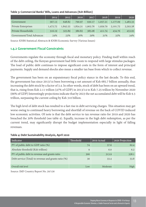#### **Table 3: Commercial Banks' Bills, Loans and Advances (Ksh Billion)**

|                           | 2014     | 2015     | 2016     | 2017     | 2018     | 2019     | 2020     |
|---------------------------|----------|----------|----------|----------|----------|----------|----------|
| Government                | 567.13   | 648.82   | 790.97   | 930.17   | 1,057.21 | 1,177.09 | 1,483.33 |
| Private Enterprises       | 1,472.72 | 1,842.55 | 1,854.31 | 1,903.76 | 1,959.79 | 2,101.75 | 2,293.58 |
| Private Households        | 316.19   | 325.89   | 380.82   | 385.08   | 411.74   | 434.76   | 453.95   |
| Government/Total Advances | 24%      | 23%      | 26%      | 29%      | 31%      | 32%      | 34%      |

Source: KNBS Statistical Abstracts & KNBS Economic Survey (Various Issues)

#### **1.4.2 Government Fiscal Constraints**

Governments regulate the economy through fiscal and monetary policy. Finding itself within reach of the debt ceiling, the Kenyan government had little room to respond with large stimulus packages. The load of public debt continues to impose significant costs in the form of interest and principal payments. Supply and demand shocks also mean a smaller tax base from which to collect revenue.

The government has been on an expansionary fiscal policy stance in the last decade. To this end, the government has since 2013/14 been borrowing a net amount of Ksh 685.7 billion annually, thus increasing the debt stock by a factor of 3.4. In other words, stock of debt has been on an upward trend, that is, rising from Ksh 2.11 trillion (47% of GDP) in 2013/14 to Ksh 7.25 trillion by November 2020 (66% of GDP) Interestingly projections indicate that by 2023 the net accumulated debt will be Ksh 9.3 trillion, surpassing the current ceiling by Ksh 310 billion.

The high level of debt stock has resulted to a fast rise in debt servicing charges. This situation may get worse owing to continued heavy borrowing and shortfall of revenue on the back of COVID induced low economic activities. Of note is that the debt service to tax revenue ratio for 2019 and 2020 has breached the 30% threshold (see table 4). Equally, increase in the high debt redemption, as per the current trend, may significantly disrupt the budget implementation especially in light of falling revenues.

#### **Table 4: Debt Sustainability Analysis, April 2020**

| l Indicator                                          | Threshold' | 2019 Actual | 2020 Projection |
|------------------------------------------------------|------------|-------------|-----------------|
| PV of public debt to GDP ratio (%)                   | 74         | 57.6        | 62.4            |
| Absolute threshold (Ksh trillion)                    | 9          | 6.0         | 6.2             |
| PV of public debt to revenue and grants ratio        | 300        | 313.9       | 338.1           |
| Debt service (Total) to revenue and grants ratio (%) | 30         | 33.4        | 53.8            |
| Overall risk level                                   | Low        | Moderate    | High            |

Source: IMF Country Report No. 20/156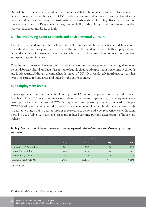Overall, Kenya has experienced a deterioration in the debt levels and in cost and risk of servicing this debt as shown in the two indicators of PV of debt-to-revenue and grants ratio and debt service-torevenue and grants ratio under debt sustainability analysis as shown in table 5. Because of breaching these two indicators of Kenya debt distress, the possibility of defaulting in debt repayment situation has worsened from moderate to high.

#### **1.5 The Underlying Socio-Economic and Environmental Context**

The Covid-19 pandemic created a financial, health and social shock, which affected households throughout Kenya to varying degrees. Because the rise of the pandemic created both a supply side and demand side shock for firms in Kenya, it constricted the size of the market and reduced consumption and spending simultaneously.

Containment measures have resulted to adverse economic consequences, including dampened demand for agricultural products, disruptions of supply chains and exports thus weakening livelihoods and food security. Although the initial health impact of COVID 19 was largely in urban areas, this has over time spread to rural areas and indeed in the entire country.

#### **1.5.1 Employment levels**

Kenya experienced an unprecedented loss of jobs of 1.7 million people within the period between March and June 2020<sup>3</sup> as a consequence of containment measures. Specifically, unemployment levels went up markedly at the onset of COVID in quarter 2 and quarter 3 of 2020 compared to the pre COVID level over the same period in 2019. In particular, unemployment levels increased from 4.7% in quarter two and 5.3% in quarter three of 2019 relative to 10.4% and 7.2% respectively over the same period in 2020 (table 5). In fact, job losses and reduced earnings portend deterioration of household welfare.

#### **Table 5: Comparison of Labour force and unemployment rate in Quarter 2 and Quarter 3 for 2019 and 2020**

|                             | O <sub>2</sub> |        | $Q_3$ |       |
|-----------------------------|----------------|--------|-------|-------|
|                             | 2019           | 2020   | 2019  | 2020  |
| Population (15-64), Million | 26.8           | 27.7   | 27.0  | 27.7  |
| Labour Force, Million       | 18.7           | 17.7   | 18.8  | 19.0  |
| Unemployed, Million         | 0.9            | 1.8    | 1.0   | 1.4   |
| Unemployment Rate (%)       | 4.70%          | 10.40% | 5.30% | 7.20% |

Source: KNBS

<sup>3</sup>KNBS (2020) and Quarter Labour Force Survey 2020 pp1-2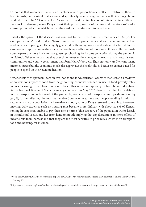Of note is that workers in the services sectors were disproportionately affected relative to those in both industry and agricultural sectors and specifically women wage workers as their average hours worked reduced by 30% relative to 18% for men<sup>4</sup>. The direct implication of this is that in addition to the shock to demand, many Kenyans lost their primary source of income and therefore suffered a consumption reduction, which created the need for the safety nets to be activated.

Initially the spread of the diseases was confined to the dwellers in the urban areas of Kenya. For example, a study<sup>5</sup> conducted in Nairobi finds that the pandemic social and economic impact on adolescents and young adults is highly gendered, with young women and girls most affected. In this case, women reported more time spent on caregiving and households responsibilities while their male counterparts are more likely to have given up schooling for income generation during the pandemic in Nairobi. Other reports show that over time however, the contagion spread spatially towards rural communities and county government that form Kenya's borders. Thus, not only are Kenyans losing income sources but the economic shock also aggravates the health shock because it creates a need for people to spend on their own medication.

Other effects of the pandemic are on livelihoods and food security. Closures of markets and slowdown at borders for import of food from neighbouring countries resulted in rise in food poverty rates. Reduced earning to purchase food exacerbated this situation, especially in Nairobi and Mombasa. Kenya National Bureau of Statistics survey conducted in May 2020 showed that due to regulations in the transport to curb spread of the pandemic, overall cost of transport countrywide went up by 51.7%, further affecting the most vulnerable (low-income earners and people residing in informal settlements) in the population. Alternatively, about 32.2% of Kenya resorted to walking. Moreover, meeting daily expenses such as housing rent became more difficult with about 30.5% of Kenyan renting houses been unable to pay their rent on time. This category of the population works largely in the informal sector, and live from hand to mouth implying that any disruptions in terms of loss of income hits them hardest and that they are the most sensitive to price hikes whether on transport, food and housing, for instance.

<sup>4</sup> World Bank Group (2021) Socioeconomic impacts of COVID 19 in Kenya on Households. Rapid Response Phone Survey Round 1, January 2021

<sup>5</sup> https://www.pmadata.org/news/study-reveals-stark-gendered-social-and-economic-impacts-covid-19-youth-kenya-0)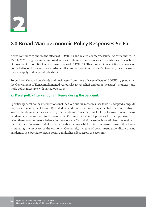

## **2.0 Broad Macroeconomic Policy Responses So Far**

Kenya continues to endure the effects of COVID 19 and related countermeasures. As earlier noted, in March 2020, the government imposed various containment measures such as curfews and cessations of movement in counties to curb transmission of COVID 19. This resulted in restrictions on working hours, led to job losses and overall adverse effects on economic activities. Put together, these measures created supply and demand side shocks.

To cushion Kenyan households and businesses from these adverse effects of COVID 19 pandemic, the Government of Kenya implemented various fiscal (tax reliefs and other measures), monetary and trade policy measures with varied objectives.

#### **2.1 Fiscal policy interventions in Kenya during the pandemic**

Specifically, fiscal policy interventions included various tax measures (see table 5), adopted alongside increases in government Covid-19 related expenditure which were implemented to cushion citizens against the demand shock caused by the pandemic. Since citizens look up to government during pandemics, measures within the government's immediate control provides for the opportunity of using these tools to restore balance in the economy. Tax relief measures is an efficient tool owing to the fact that it increases individual's disposable income which in turn increase consumption hence stimulating the recovery of the economy. Conversely, increase of government expenditure during pandemics is expected to create positive multiplier effect across the economy.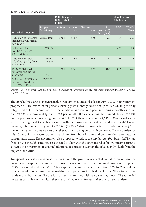#### **Table 6: Tax Relief Measures**

|                                                                        |                         | Collection pre-<br>COVID (Ksh<br>Billion) |                |                     |                                        | Est. of Rev losses<br>(Ksh Billion |                |
|------------------------------------------------------------------------|-------------------------|-------------------------------------------|----------------|---------------------|----------------------------------------|------------------------------------|----------------|
| <b>Tax Relief Measures</b>                                             | Targeted<br>Beneficiary | 2018/19                                   | 2019/20<br>(A) | Est. 2020/21<br>(B) | Est.<br>$2020/21$ (B)<br>$Diff' (B-A)$ | <b>PBO</b>                         | World-<br>Bank |
| Reduction of corporate<br>income tax (CIT) from<br>30% to 25%          | Formal firms            | 292.4                                     | 340.9          | 308                 | $-32.9$                                | 45.7                               | 13.7           |
| Reduction of turnover<br>$\text{tax}$ (ToT) from 3% to<br>1% for MSMEs | <b>MSMEs</b>            |                                           |                |                     |                                        | 0.05                               | 0.1            |
| Reduction of Value<br>Added Tax (VAT) from<br>16% to 14%               | General<br>public       | 414.1                                     | 412.6          | 481.6               | 69                                     | 49.6                               | 13.8           |
| 100% PAYE tax relief<br>for earning below Ksh<br>24,000 pm             | Formal                  | 393.4                                     | 395.4          | 377                 | $-18.4$                                | 26.9                               | 11.7           |
| Reduction of PAYE top<br>income tax band rate<br>from $30\%$ to $25\%$ | employees               |                                           |                |                     |                                        |                                    |                |

Source: Tax Amendment Act 2020; NT QBER and Est. of Revenue 2020/21; Parliament Budget Office (PBO), Kenya and World Bank

The tax relief measures as shown in table 6 were approved and took effect in April 2020. The government proposed a 100% tax relief for persons earning gross monthly income of up to Ksh 24,000 generally categorized as low-income earners. The additional income for a person earning a monthly income Ksh. 24,000 is approximately Ksh. 1,700 per month. The calculations show an additional 717,497 taxable persons were now being taxed at 0%. In 2019 there were about 49,747 (1.7%) formal sector workers paying the 0% effective tax rate. With the resizing of the first tax band as a Covid-19 relief measure, this number has grown to 767,244 (26.2%). What this means is that an additional 24.5% of the formal sector income earners are relieved from paying personal income tax. The tax burden for this 26.2% of formal sector workers has shifted from both income and consumption taxes towards consumption taxes. The government also proposed to reduce the top Pay-As-You-Earn (PAYE) rate from 30% to 25%. This incentive is expected to align with the 100% tax relief for low-income earners, allowing the government to channel additional resources to cushion the affected individuals from the impact of the virus.

To support businesses and increase their resources, the government effected tax reduction for turnover tax rates and corporate income tax. Turnover tax rate for micro, small and medium-term enterprises (MSMEs) was reduced from 3% to 1%. Corporate income tax was reduced from 30% to 25% to allow companies additional resources to sustain their operations in this difficult time. The effects of the pandemic on businesses like the loss of key markets and ultimately shutting down. The tax relief measures can only yield results if they are sustained over a few years after the current pandemic.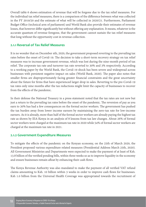Overall table 6 shows estimation of revenue that will be forgone due to the tax relief measures. For the individual tax relief measures, there is a comparison of the difference between what was collected in the FY 2019/20 and the estimate of what will be collected in 2020/21. Furthermore, Parliament Budget Office (technical arm of parliament) and World Bank also provide their estimates of revenue losses, that however differ significantly but without offering any explanation. It means, whatever is the accurate quantum of revenue foregone, that the government cannot sustain the tax relief measures that long without the opportunity cost in revenue collection.

#### **2.1.1 Reversal of Tax Relief Measures**

It is no wonder that on December 4th, 2020, the government proposed reverting to the prevailing tax rates before the onset of Covid-19. The decision to take a short-term recovery strategy on tax relief measures was to increase government revenue, which was lost during the nine-month period of tax relief. The corporate tax rate and turnover tax rate reverted to 30% and 3% respectively. According to a working paper by the World Bank, the Covid-19 shock has been severe and widespread across businesses with persistent negative impact on sales (World Bank, 2020). The paper also notes that smaller firms are disproportionately facing greater financial constraints and the great uncertainty about the future for firms that have experienced larger drop in sales. Reverting to the pre-Covid-19 tax rates only nine months after the tax reductions might limit the capacity of businesses to recover from the effects of the pandemic.

In their defense the National Treasury in a press statement noted that the tax rates are not new but just a return to the prevailing tax rates before the onset of the pandemic. The reversion of pay as you earn to 30% has had a few consequences on the formal sector workers. The government has pushed the tax burden away from lower income earners by maintaining the zero-tax rate for low-income earners. As it is already, more than half of the formal sector workers are already paying the highest tax rate as shown by IEA-Kenya in an analysis of 8 lessons from tax law changes. About 26% of formal sector workers were charged at the maximum tax rate in 2020 while 54% of formal sector workers are charged at the maximum tax rate in 2021.

#### **2.1.2 Government Expenditure Measures**

To mitigate the effects of the pandemic on the Kenyan economy, on the 25th of March 2020, the President proposed various expenditure related measures (Presidential Address March 25th, 2020). All Government Ministries and Departments were expected to make the payment of at least of Ksh. 13.8 billion of the verified pending bills, within three weeks so as to improve liquidity in the economy and ensure businesses remain afloat by enhancing their cash flows.

The Kenya Revenue Authority was also mandated to make the payment of all verified VAT refund claims amounting to Ksh. 10 billion within 3 weeks in order to improve cash flows for businesses. Ksh 1.0 billion from the Universal Health Coverage was appropriated towards the recruitment of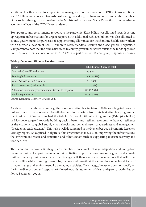additional health workers to support in the management of the spread of COVID-19. An additional Ksh 10 billion was allocated towards cushioning the elderly, orphans and other vulnerable members of the society through cash-transfers by the Ministry of Labour and Social Protection from the adverse economic effects of the COVID-19 pandemic.

To support county governments' response to the pandemic, Ksh 5 billion was allocated towards setting up requisite infrastructure for urgent response. An additional Ksh 2.36 billion was also allocated to county governments for purposes of supplementing allowances for the frontline health care workers with a further allocation of Ksh 1.5 billion to Kitui, Mandera, Kisumu and Coast general hospitals. It is important to note that the funds disbursed to county governments were outside the funds approved under county revenue allocation act (CARA) 2019 as part of Covid-19 emergency response measures.

| Items                                                  | Ksh (Billion)/ Share of total |
|--------------------------------------------------------|-------------------------------|
| Food relief, WASH and others                           | $2(3.9\%)$                    |
| Pending Bill clearance                                 | 13.8 (26.8%)                  |
| Value Added Tax (VAT) refund                           | $10(19.4\%)$                  |
| Social protection (cash transfers)                     | $10(19.4\%)$                  |
| Allocation to county governments for Covid-19 response | $8.9(17.3\%)$                 |
| Health expenditure                                     | $6.8(13.2\%)$                 |

#### **Table 7: Economic Stimulus I in March 2020**

Source: Economic Recovery Strategy 2020

As shown in the above summary, the economic stimulus in March 2020 was targeted towards fast recovery of the economy. Nevertheless and in departure from this first stimulus programme, the President of Kenya launched the 8-Point Economic Stimulus Programme (Ksh. 56.2 billion) in May 2020 targeted towards building back a better and resilient economy- enhanced resilience of the economy to global supply chain shocks and better disaster preparedness and management (Presidential Address, 2020). This is also well documented in the November 2020 Economic Recovery Strategy report. As captured in figure 3, this Programme's focus is on improving the infrastructure, the environment, water and sanitation and other sectors such as supporting tourism recovery and food security.

The Economic Recovery Strategy places emphasis on climate change adaptation and mitigation measures that will exploit green economic activities to put the economy on a green and climate resilient recovery build-back path. The Strategy will therefore focus on measures that will drive sustainability while boosting green jobs, income and growth at the same time reducing drivers of climate change and environmentally damaging activities. The strategy, however does not specify on the immediate actions and steps to be followed towards attainment of clean and green growth (Budget Policy Statement, 2021).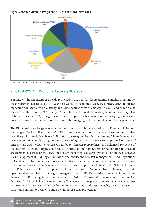

#### **Fig 3: Economic Stimulus Programme II (Ksh 56.2 Bn) - Nov. 2020**

Source: Economic Recovery Strategy 2020

#### **2.1.3 Post COVID 19 Economic Recovery Strategy**

Building on the expenditures already proposed in 2020 under the Economic Stimulus Programme, the government has rolled out a 3-year post Covid-19 Economic Recovery Strategy (ERS) to further reposition the economy on a steady and sustainable growth trajectory. The ERS and other policy measures outlined in the 2021 Budget Policy Statement aim at stimulating economic recovery (The National Treasury, 2021). The government also proposes critical review of existing programmes and policies to ensure that they are consistent with the emerging realities brought about by the pandemic.

The ERS considers a long-term economic recovery through incorporation of different policies into the budget. The key pillar of Kenya's ERS is sound macroeconomic framework supported by other key pillars which include enhanced allocation to strengthen health care systems, full implementation of the economic stimulus programme, accelerated growth in private sector, supported recovery of micro, small and medium enterprises with better disaster preparedness and enhanced resilience of the economy to global supply chain shocks. Currently the frameworks for responding to disasters are fragmented across several laws. The Government proposed development of harmonized Disaster Risk Management (DRM) legal framework and finalize the Disaster Management Fund Regulations to facilitate effective and efficient response to disasters in a more coordinated manner. In addition, to strengthen Disaster Risk Management, the Government proposes to finalize the National Disaster Risk Policy, fast track the development and enactment of the National Disaster Management Bill, operationalize the National Drought Emergency Fund (NDEF), speed up implementation of the Disaster Risk Financing Strategy and strengthen National Disaster Management and Coordination Framework (Budget Policy Statement, 2021). The recovery strategy is also cognizant of the inequalities in the society that were amplified by the pandemic and aims to address inequality by enhancing social cohesion, community resilience and strengthening social protection.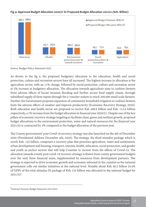

**Fig 4: Approved Budget Allocation 2020/21 Vs Proposed Budget Allocation 2021/22 (Ksh. Billion)**

Source: Budget Policy Statement 2021

As shown in the fig 4, the proposed budgetary allocation to the education, health and social protection, culture and recreation sectors have all increased. The highest increase in allocation is the agriculture sector, with an 11% change, followed by social protection, culture and recreation sector at 2% increase in budgetary allocation. The allocation towards agriculture aims to cushion farmers from adverse effects of locust invasion flooding and further secure food supply chains, through subsidized supply of farm inputs through the e-voucher system to reach 200,000 small scale farmers. Further, the Government proposes expansion of community household irrigation to cushion farmers from the adverse effects of weather and improve productivity (Economic Recovery Strategy, 2020). Both education and health sector are proposed to receive Ksh 508.6 billion and Ksh. 112.6 billion respectively, a 1% increase from the budget allocation in financial year 2020/21. Despite one of the key pillars of economic recovery strategy targeting to facilitate clean, green and resilient growth, proposed budget allocations to the environment protection, water and natural resources for the financial year 2021/22 is contracted by 2% compared to the budget allocation of the previous year.

The County governments' post Covid 19 recovery strategy was also launched on the 4th of December 2020 (Presidential Address December 4th, 2020). The strategy, the third stimulus package which is worth Ksh. 132 billion, comprises a recovery plan that priorities agriculture, water and sanitization, urban development and housing, transport, tourism, health, education, social protection, and gender and youth as anchor sectors that will help Counties to recover from the effects of Covid-19. The allocation towards county post covid-19 recovery strategy is drawn from county government budgets over the next three financial years, supplemented by resources from development partners. The strategy is expected to drive economic growth and economic rebound in the counties as the national government rolls out similar initiatives at the national level. Notably about Ksh 46.2 billion (0.4% of GDP) of the total stimulus III package of Ksh 132 billion was allocated in the national budget for  $2021/22^6$ .

<sup>6</sup> National Treasury Budget Statement 2021/2022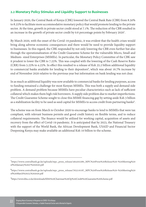#### **2.2 Monetary Policy Stimulus and Liquidity Support to Businesses**

In January 2020, the Central Bank of Kenya (CBK) lowered the Central Bank Rate (CBR) from 8.50% to 8.25% to facilitate more accommodative monetary policy that would promote lending to the private sector. At the time, growth in private sector credit stood at 7.1%. The reduction of the CBR resulted in an increase in the growth of private sector credit by 0.6 percentage points by February 2020<sup>7</sup>.

By March 2020, with the onset of the Covid-19 pandemic, it was evident that the health crises would bring along adverse economic consequences and there would be need to provide liquidity support to businesses. In this regard, the CBK responded by not only lowering the CBR even further but also through the operationalization of the Credit Guarantee Scheme for the vulnerable Micro, Small and Medium- sized Enterprises (MSMEs). In particular, the Monetary Policy Committee of the CBK saw it prudent to lower the CBR to 7.25%. This was coupled with the lowering of the Cash Reserve Ratio (CRR) from 5.25% to 4.25%. In effect this resulted to a release of Ksh 35.2 billion additional liquidity to commercial banks available for lending to their depositors<sup>8</sup>, which was about 16.7% increase by end of November 2020 relative to the previous year but information on bank lending was not clear.

In as much as additional liquidity was now available to commercial banks for lending purposes, access to funding remained a challenge for most Kenyan MSMEs. This was both a supply and demand side problem. A demand problem because MSMEs have peculiar characteristics such as lack of sufficient collateral which makes them high risk borrowers. A supply side problem due to market imperfections. The Credit Guarantee Scheme sought to close this MSME financing gap by setting aside Ksh 3 billion as a stabilization facility to be used as seed capital for MSMEs to access credit from partnering banks<sup>9</sup>.

The scheme was on from March to October 2020 to encourage banks to lend to MSMEs that were tax compliant, with relevant business permits and good credit history on flexible terms, and to reduce collateral requirements. The finance would be utilized for working capital, acquisition of assets and recovery from the effect of Covid-19 pandemic. It is anticipated that by 2023, the National Treasury with the support of the World Bank, the African Development Bank, USAID and Financial Sector Deepening Kenya may make available an additional Ksh 10 billion to the scheme.

<sup>7</sup> https://www.centralbank.go.ke/uploads/mpc\_press\_release/464303380\_MPC%20Press%20Release%20-%20Meeting%20 of%20January%2027%202020.pdf

<sup>8</sup> https://www.centralbank.go.ke/uploads/mpc\_press\_release/765216187\_MPC%20Press%20Release%20-%20Meeting%20 of%20March%2023,%202020.pdf

<sup>9</sup> https://www.kba.co.ke/downloads/KBA%20Chairman%20Op%20Credit%20Guarantee%20Scheme.pdf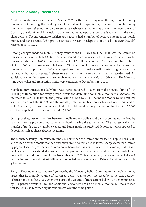#### **2.2.1 Mobile Money Transactions**

Another notable response made in March 2020 is the digital payment through mobile money transactions targe ting the banking and financial sector. Specifically, changes in mobile money transaction were effected not only to enhance cashless transactions as a way to reduce spread of Covid-19 but also financial inclusion to the most vulnerable population , that is women, children and older persons. The movement to cashless transactions had a number of positive outcomes on mobile money and bank agents, (who provide services in Cash-in (deposits) and Cash-out (withdrawals) referred to as CICO).

Among changes made to mobile money transactions in March to June 2020, was the waiver on transactions for up to Ksh 10,000. This contributed to an increase in the number of bank e-wallet transactions by Ksh 488,000 per week valued at Ksh 1.7 million per month. Mobile money transactions of Ksh 1,000 and below constituted over 80% of all mobile money transactions. The waiver on transactions for up to Ksh 1,000 encouraged customers to make small transfers digitally and this reduced withdrawal at agents. Business related transactions were also reported to have declined. An additional 1.6 million customers used mobile money channels since March 16th 2020. The March to June 2020 wallet and transaction limits were extended to December 31st 2020.

Mobile money transactions daily limit was increased to Ksh 150,000 from the previous limit of Ksh 70,000 per transaction for every person while the daily limit for mobile money transactions was increased to Ksh 300,000 from the previous limit of Ksh 140,000. The mobile money wallet limit was also increased to Ksh 300,000 and the monthly total for mobile money transactions eliminated as well. As a result, the tariff that was applied to the old mobile money transaction limit of Ksh 70,000 effectively applied to the new one of Ksh 150,000.

On top of that, fees on transfers between mobile money wallets and bank accounts was waived by payment service providers and commercial banks during the same period. The charges waived on transfer of funds between mobile wallets and banks made it a preferred deposit option as opposed to depositing cash at physical agent locations.

The Monetary Policy Committee in June 2020 extended the waiver on transactions up to Kshs 1,000 and the tariff for the mobile money transaction limit also remained in force. Charges remained waived by payment service providers and commercial banks for transfers between mobile money wallets and bank accounts. The extended waivers had an impact on telco companies and banks that made losses during this period. For example, by November 9th 2020, telco company Safaricom reported a 6% decline in profits to Kshs 33.07 billion with reported service revenue of Kshs 118.4 billion, a notable 4.8% decline.

By 17th December, it was reported (release by the Monetary Policy Committee) that mobile money usage, that is, monthly volume of person-to-person transactions increased by 87 percent between February and October 2020. Over this period the volume of transactions below Ksh 1,000 increased by 114 percent, while 2.8 million additional customers are using mobile money. Business-related transactions also recorded significant growth over the same period.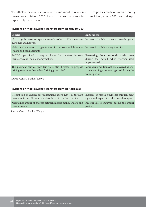Nevertheless, several revisions were announced in relation to the responses made on mobile money transactions in March 2020. These revisions that took effect from 1st of January 2021 and 1st April respectively, these included:

#### **Revisions on Mobile Money Transfers from 1st January 2021**

| <b>Policies</b>                                                                                                                       | Implications                                                                                              |
|---------------------------------------------------------------------------------------------------------------------------------------|-----------------------------------------------------------------------------------------------------------|
| No charge for person-to-person transfers of up to Ksh.100 to any Increase of mobile payments through agents<br>customer and network   |                                                                                                           |
| Maintained waiver on charges for transfers between mobile money Increase in mobile money transfers<br>wallets and bank accounts       |                                                                                                           |
| SACCOs permitted to levy a charge for transfers between Recovering from previously made losses<br>themselves and mobile money wallets | during the period when waivers were<br>implemented                                                        |
| The payment service providers were also directed to propose<br>pricing structures that reflect "pricing principles"                   | More customer transactions covered as well<br>as maintaining customers gained during the<br>waiver period |

Source: Central Bank of Kenya

#### **Revisions on Mobile Money Transfers from 1st April 2021**

| Resumption of charges for transactions above Ksh 100 through Increase of mobile payments through bank<br>bank specific mobile money wallets linked to the Sacco sector | agents and payment service providers agents |
|------------------------------------------------------------------------------------------------------------------------------------------------------------------------|---------------------------------------------|
| Maintained waiver of charges between mobile money wallets and Recover losses incurred during the waiver<br>bank accounts                                               | period                                      |

Source: Central Bank of Kenya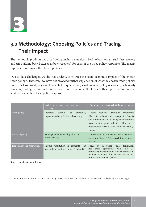**3**

## **3.0 Methodology: Choosing Policies and Tracing Their Impact**

The methodology adopts two broad policy anchors, namely: (i) back to business as usual (fast recovery and (ii) building back better (rainbow recovery) for each of the three policy responses. The matrix captures in summary, the chosen policies.

Due to data challenges, we did not undertake or trace the socio-economic impact of the chosen trade policy<sup>10</sup>. Therefore, we have not provided further explanation of what the chosen trade policies under the two broad policy anchors entails. Equally, analysis of financial policy response (particularly monetary policy) is minimal, and is based on deductions. The focus of this report is more on the analysis of effects of fiscal policy response.

|                             | Back to business as usual asap, fast<br>recovery                                    | Building back better/Rainbow recovery                                                                                                                                                                                             |
|-----------------------------|-------------------------------------------------------------------------------------|-----------------------------------------------------------------------------------------------------------------------------------------------------------------------------------------------------------------------------------|
| <b>Fiscal policy</b>        | stimulus<br>previously<br>Increased<br>as<br>implemented (e.g. for households only) | 8-Point Economic Stimulus Programme<br>(Ksh 56.2 billion) and consequently County<br>Government post COVID 19 socioeconomic<br>recovery strategy of Ksh 132 billion to be<br>implemented over 3 years (from FY2022/23-<br>2024/25 |
| Financial policy            | More general financial liquidity con-<br>strained in use                            | More targeted liquidity while dealing with non-<br>performing loan (NPL) issues; lifting of interest<br>rate cap                                                                                                                  |
| Trade policy and production | Import substitution in garments (ban<br>second hand clothing, more NTB, food)       | integration, trade facilitation,<br>Focus on<br>trade agreements with the US,<br>free<br>promoting investment in diversification and<br>manufacturing, retooling factories for personal<br>protective equipment (PPE)             |

Source: Authors' compilation

<sup>&</sup>lt;sup>10</sup>The Institute of Economic Affairs-Kenya may pursue conducting an analysis on the effects of trade policy at a later stage.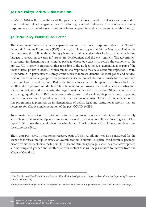#### **3.1 Fiscal Policy: Back to Business as Usual**

In March 2020 with the outbreak of the pandemic, the government's fiscal response was a shift from fiscal consolidation agenda towards protecting lives and livelihoods. This economic stimulus response, as earlier noted was a mix of tax relief and expenditure related measures (see table 6 and 7).

#### **3.2 Fiscal Policy: Building Back Better**

The government launched a more expanded second fiscal policy response dubbed the "8-point Economic Stimulus Programme (ESP) of Ksh 56.2 billion (0.5% of GDP) in May 2020. Unlike the first response, this ESP as shown in fig 3 is more sustainable given that its focus is wide including budgetary allocation towards infrastructure development and the environment. The government is currently implementing this stimulus package whose objective is to return the economy to the pre-COVID 19 growth trajectory. This according to the Budget Policy Statement 2021 is part of the focus of fiscal policy in 2020/21, which remains to respond to the socio-economic impact of COVID 19 pandemic. In particular, this programme seeks to increase demand for local goods and service, cushion the vulnerable groups of the population, secure household food security for the poor and create employment and incomes. Part of the funds allocated are to be spent in creating jobs for the youth under a programme dubbed "Kazi Mtaani" for improving road and related infrastructure such as footbridges and storm water drainage in major cities and urban areas. Other portions are for enhancing liquidity for MSMEs, enhanced cash transfer to the vulnerable populations, supporting tourism recovery and improving health and education outcomes. Successful implementation of this programme is premised on implementation of policy, legal and institutional reforms that are necessary for effective implementation of the post COVID 19 ERS.

To estimate the effect of this injection of funds/stimulus on economic output, we utilized readily available sectoral fiscal multipliers from various secondary sources consolidated in a single empirical  $report<sup>11</sup>$ . Of course, the magnitude of the stimulus and how it is financed to a large extent determine the economic effects.

The 3-year post covid 19 economic recovery plan of Ksh 132 billion $12$  was also considered for the scenarios for fiscal multiplier effects on overall economic output. This plan (third stimulus package) prioritizes similar sectors to the 8-point ESP (second stimulus package) as well as urban development and housing and gender and youth as anchor sectors that will help Counties to recover from the effects of Covid-19.

<sup>&</sup>lt;sup>11</sup>Sherillyn R (2022) Fiscal Multipliers: A Review of Fiscal Stimulus Options and Impact on Poor Countries. Supporting Economic Transformation (SET)

<sup>12</sup>https://www.president.go.ke/2020/12/04/president-kenyatta-launches-county-governments-post-covid-recovery-strategy/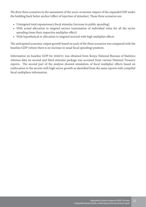We drew three scenarios in the assessment of the socio-economic impact of the expanded ESP under the building back better anchor (effect of injection of stimulus). These three scenarios are:

- Untargeted total expansionary fiscal stimulus (increase in public spending)
- With actual allocation to targeted sectors (summation of individual value for all the sector spending times their respective multiplier effect)
- With hypothetical re-allocation to targeted sectoral with high multiplier effects

The anticipated economic output growth based on each of the three scenarios was compared with the baseline GDP (where there is no increase in usual fiscal spending) position.

Information on baseline GDP for 2020/21 was obtained from Kenya National Bureaus of Statistics whereas data on second and third stimulus package was accessed from various National Treasury reports. The second part of the analysis showed simulation of fiscal multiplier effects based on reallocation to the sectors with high sector growth as identified from the same reports with compiled fiscal multipliers information.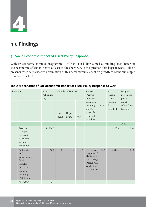# **4**

## **4.0 Findings**

#### **4.1 Socio-Economic Impact of Fiscal Policy Response**

With an economic stimulus programme II of Ksh 56.2 billion aimed at building back better, its socioeconomic effects in Kenya at least in the short run, is the question that begs answers. Table 8 presents three scenarios with estimation of this fiscal stimulus effect on growth of economic output from baseline GDP.

| Scenarios    |                                                                                                                   | 2020/21,<br>Ksh billion<br>(A) |                | Multiplier effects (B) |     |                                                                                             | Sources<br>(Kenyan<br>cases, ex- | 2021<br>(baseline<br>$GDP+$     | Marginal<br>percentage<br>points   |
|--------------|-------------------------------------------------------------------------------------------------------------------|--------------------------------|----------------|------------------------|-----|---------------------------------------------------------------------------------------------|----------------------------------|---------------------------------|------------------------------------|
|              |                                                                                                                   |                                | Lower<br>bound | Upper<br>bound         | Avg | cept green<br>spending<br>and De<br>Henau for<br>gendered<br>stimulus)                      | $A^*B$                           | scenario<br>fiscal<br>stimulus) | growth<br>effects from<br>baseline |
|              |                                                                                                                   |                                |                |                        |     |                                                                                             |                                  |                                 | 2021                               |
| $\mathbf I$  | Baseline<br>GDP (no<br>increase in<br>usual fiscal<br>spending)<br>Ksh billion                                    | 11,276.0                       |                |                        |     |                                                                                             |                                  | 11,276.0                        | 0.00                               |
| $\mathbf{I}$ | Untargeted<br>total<br>expansionary<br>fiscal<br>stimulus<br>(increase<br>in public<br>spending)<br>(Ksh Billion) | 56.2                           | 0.1            | 0.4                    | 0.3 | Bucket<br>approach'<br>ala Batini et<br>al $(2014);$<br>Asea, 2016;<br>World Bank<br>(2010) | 14.1                             | 11,290.1                        | 0.12                               |
|              | % of GDP                                                                                                          | 0.5                            |                |                        |     |                                                                                             |                                  |                                 |                                    |

#### **Table 8: Scenarios of Socioeconomic Impact of Fiscal Policy Response to GDP**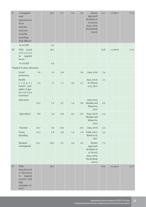| $\rm II$   | Untargeted<br>total<br>expansionary<br>fiscal<br>stimulus<br><i>(increase)</i><br>in public<br>spending)<br>(Ksh Billion)      |      | 56.2 | 0.1    | 0.4    | 0.3    | Bucket<br>approach'<br>ala Batini et<br>al $(2014);$<br>Asea, 2016;<br>World Bank<br>(2010) | 14.1   | 11,290.1 | 0.12 |
|------------|--------------------------------------------------------------------------------------------------------------------------------|------|------|--------|--------|--------|---------------------------------------------------------------------------------------------|--------|----------|------|
|            | % of GDP                                                                                                                       |      | 0.5  |        |        |        |                                                                                             |        |          |      |
| III        | With actual<br>allocation<br>targeted<br>to<br>sector                                                                          |      | 56.2 |        |        |        |                                                                                             | 16.8   | 11,292.8 | 0.15 |
|            | % of GDP                                                                                                                       |      | 0.5  |        |        |        |                                                                                             |        |          |      |
|            | *Explicit % share allocation                                                                                                   |      |      |        |        |        |                                                                                             |        |          |      |
|            | Social<br>protection                                                                                                           | 1.8  | 1.0  | 2.4    |        | 2.4    | Asea, 2016                                                                                  | 2.4    |          |      |
|            | Health<br>( u p p e r )<br>bound mul-<br>tiplier if gen-<br>$dered/care$<br>economy)                                           | 3.0  | 1.7  | 1.1    | 3.0    | 2.1    | Asea, 2016;<br>De Henau<br>et al, 2017                                                      | 5.1    |          |      |
|            | Education                                                                                                                      | 13.2 | 7.4  | 0.7    | 1.0    | 0.8    | Asea 2016;<br>Mudaki and<br>Masarivu,<br>2012                                               | 6.0    |          |      |
|            | Agriculture                                                                                                                    | 8.9  | 5.0  | $-0.9$ | $-0.1$ | $-0.5$ | Asea, 2016;<br>Mudaki and<br>Masarivu,<br>2012                                              | $-2.4$ |          |      |
|            | Tourism                                                                                                                        | 10.7 | 6.0  | $-0.9$ |        | $-0.9$ | Asea, 2016                                                                                  | $-5.2$ |          |      |
|            | Green<br>spending                                                                                                              | 10.3 | 5.8  | 0.6    | 1.4    | 1.0    | Politt, 2011;<br>Batini et al,<br>2021                                                      | 3.5    |          |      |
|            | Residual<br>(untargeted)                                                                                                       | 52.1 | 29.3 | 0.1    | 0.4    | 0.3    | Bucket<br>approach'<br>ala Batini et<br>al (2014);<br>Asea, 2016;<br>World Bank<br>(2010)   | 7.3    |          |      |
| ${\rm IV}$ | With<br>hypothetical<br>re-allocation<br>targeted<br>to<br>sectoral with<br>high<br>multiplier ef-<br>$\textsf{fects}^{\star}$ |      | 56.2 |        |        |        |                                                                                             | 79.4   | 11,355.4 | 0.70 |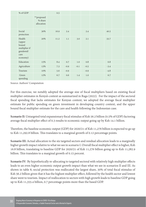| % of GDP                                                                    |                                     | 0.5  |        |        |        |        |  |
|-----------------------------------------------------------------------------|-------------------------------------|------|--------|--------|--------|--------|--|
|                                                                             | **proposed<br>% share<br>allocation |      |        |        |        |        |  |
| Social<br>protection                                                        | 30%                                 | 16.9 | 2.4    |        | 2.4    | 40.5   |  |
| Health<br>(upper<br>bound<br>multiplier if<br>gendered/<br>care<br>economy) | 20%                                 | 11.2 | 1.1    | 3.0    | 2.1    | 33.7   |  |
| Education                                                                   | 15%                                 | 8.4  | 0.7    | 1.0    | 0.8    | 6.8    |  |
| Agriculture                                                                 | 13%                                 | 7.3  | $-0.9$ | $-0.1$ | $-0.5$ | $-3.4$ |  |
| Tourism                                                                     | 10%                                 | 5.6  | $-0.9$ |        | $-0.9$ | $-4.8$ |  |
| Green<br>spending                                                           | 12%                                 | 6.7  | 0.6    | 1.4    | 1.0    | 6.7    |  |

Source: Authors' Computation

For this exercise, we notably adopted the average size of fiscal multipliers based on existing fiscal multiplier estimates in Kenya's context as summarized in Raga (2022). For the impact of the sectoral fiscal spending that lacks estimates for Kenyan context, we adopted the average fiscal multiplier estimate for public spending on green investment in developing country context, and the upper bound fiscal multiplier estimate for the care and health following the Indonesian case.

**Scenario II:** Untargeted total expansionary fiscal stimulus of Ksh 56.2 billion (0.5% of GDP) factoring average fiscal multiplier effect of 0.3 results to economic output going up by Ksh 14.1 billion.

Therefore, the baseline economic output (GDP) for 2020/21 of Ksh 11,276 billion is expected to go up to Ksh 11,292.8 billion. This translates to a marginal growth of 0.12 percentage points.

**Scenario III:** Actual allocation to the six targeted sectors and residual allocation leads to a marginally higher growth impact relative to what we see in scenario I. Overall fiscal multiplier effect is higher, Ksh 16.8 billion, translating to baseline GDP for 2020/21 of Ksh 11,276 billion going up to Ksh 11,282.9 billion. This translates to a marginal growth of 0.15 percent.

**Scenario IV:** By hypothetically re-allocating to targeted sectoral with relatively high multiplier effects leads to an even higher economic output growth impact than what we see in scenarios II and III. As shown in table 8, social protection was reallocated the largest share, 30% of total fiscal stimulus of Ksh 56.2 billion given that it has the highest multiplier effect, followed by the health sector and lowest share went to tourism. Impact of reallocation to sectors with high growth leads to baseline GDP going up to Ksh 11,355.4 billion, 0.7 percentage points more than the based GDP.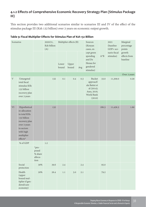#### **4.1.2 Effects of Comprehensive Economic Recovery Strategy Plan (Stimulus Package III)**

This section provides two additional scenarios similar to scenarios III and IV of the effect of the stimulus package III (Ksh 132 billion) over 3 years on economic output growth.

| Scenarios   |                                                                                                                                                    | 2020/21,<br>Ksh billion<br>(A)               | Multiplier effects (B) |                |                | Sources<br>(Kenyan<br>cases, ex- |                                                                                                    | 2021<br>(baseline<br>GDP+ sce- | Marginal<br>percentage<br>points |                                    |
|-------------|----------------------------------------------------------------------------------------------------------------------------------------------------|----------------------------------------------|------------------------|----------------|----------------|----------------------------------|----------------------------------------------------------------------------------------------------|--------------------------------|----------------------------------|------------------------------------|
|             |                                                                                                                                                    |                                              |                        | Lower<br>bound | Upper<br>bound | Avg                              | cept green<br>spending<br>and De<br>Henau for<br>gendered<br>stimulus)                             | $A^*B$                         | nario fiscal<br>stimulus)        | growth<br>effects from<br>baseline |
|             |                                                                                                                                                    |                                              |                        |                |                |                                  |                                                                                                    |                                |                                  | Over 3 years                       |
| $\mathbf V$ | Untargeted<br>total fiscal<br>stimulus KSh<br>132 billion<br>recovery plan<br>over 3 years                                                         |                                              | 132                    | 0.1            | 0.4            | 0.3                              | <b>Bucket</b><br>approach'<br>ala Batini et<br>al $(2014);$<br>Asea, 2016;<br>World Bank<br>(2010) | 33.0                           | 11,309.0                         | 0.29                               |
|             |                                                                                                                                                    |                                              |                        |                |                |                                  |                                                                                                    |                                |                                  |                                    |
| $\mbox{VI}$ | Hypothetical<br>re-allocation<br>to total KHs<br>132 billion<br>recovery plan<br>over 3 years<br>to sectors<br>with high<br>multiplier<br>effects* |                                              | 132                    |                |                |                                  |                                                                                                    | 180.3                          | 11,456.3                         | 1.60                               |
|             | % of GDP                                                                                                                                           |                                              | $1.2\,$                |                |                |                                  |                                                                                                    |                                |                                  |                                    |
|             |                                                                                                                                                    | *pro-<br>posed<br>% share<br>alloca-<br>tion |                        |                |                |                                  |                                                                                                    |                                |                                  |                                    |
|             | Social<br>protection                                                                                                                               | 30%                                          | 39.6                   | 2.4            |                | 2.4                              |                                                                                                    | 95.0                           |                                  |                                    |
|             | Health<br>(upper<br>bound mul-<br>tiplier if gen-<br>dered/care<br>economy)                                                                        | 20%                                          | 26.4                   | 1.1            | 3.0            | 2.1                              |                                                                                                    | 79.2                           |                                  |                                    |

#### **Table 9: Fiscal Multiplier Effects for Stimulus Plan of Ksh 132 Billion**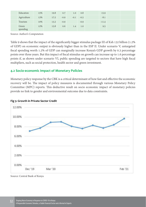| Education         | 15% | 19.8 | 0.7    | 1.0    | 0.8    | 15.9    |  |
|-------------------|-----|------|--------|--------|--------|---------|--|
| Agriculture       | 13% | 17.2 | $-0.9$ | $-0.1$ | $-0.5$ | $-8.1$  |  |
| Tourism           | 10% | 13.2 | $-0.9$ |        | $-0.9$ | $-11.4$ |  |
| Green<br>spending | 12% | 15.8 | 0.6    | 1.4    | 1.0    | 9.5     |  |

Source: Author's Computation

Table 9 shows that the impact of the significantly bigger stimulus package III of Ksh 132 billion (1.2% of GDP) on economic output is obviously higher than in the ESP II. Under scenario V, untargeted fiscal spending worth 1.2% of GDP can marginally increase Kenya's GDP growth by 0.3 percentage points over three years. But this impact of fiscal stimulus on growth can increase up to 1.6 percentage points if, as shown under scenario VI, public spending are targeted to sectors that have high fiscal multipliers, such as social protection, health sector and green investment.

#### **4.2 Socio-economic Impact of Monetary Policies**

Monetary policy response by the CBK is a critical determinant of how fast and effective the economic recovery will be. The impact of policy measures is documented through various Monetary Policy Committee (MPC) reports. This deductive result on socio economic impact of monetary policies provide no link to gender and environmental outcome due to data constraints.



#### **Fig 5: Growth in Private Sector Credit**

Source: Central Bank of Kenya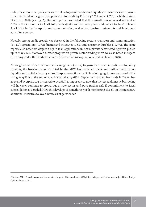So far, these monetary policy measures taken to provide additional liquidity to businesses have proven to be successful as the growth in private sector credit by February 2021 was at 9.7%, the highest since December 2019 (see fig. 5). Recent reports have noted that this growth has remained resilient at 6.8% in the 12 months to April 2021, with significant loan repayment and recoveries in March and April 2021 in the transports and communication, real estate, tourism, restaurants and hotels and agriculture sectors.

Notably, strong credit growth was observed in the following sectors: transport and communication (13.3%); agriculture (10%); finance and insurance (7.6% and consumer durables (19.3%). The same reports also note that despite a dip in loan applications in April, private sector credit growth picked up in May 2020. Moreover, further progress on private sector credit growth was also noted in regard to lending under the Credit Guarantee Scheme that was operationalized in October 2020.

Although a rise of ratio of non-performing loans (NPLs) to gross loans is an impediment to policy stimulus, the banking sector as noted by the MPC has remained stable and resilient with strong liquidity and capital adequacy ratios. Despite projections by Fitch painting a grimmer picture of NPLs rising to 15% as at the end of 202013, it stood at 13.6% in September 2020 up from 12% in December 2019 and by April 2021 increased to 14.2%. It is important to note that increased domestic borrowing will however continue to crowd out private sector and pose further risk if commitment to fiscal consolidation is derailed. How this develops is something worth monitoring closely on the necessary additional measures to avoid reversals of gains so far.

<sup>&</sup>lt;sup>13</sup>Various MPC Press Releases and Coronavirus Impact of Kenyan Banks 2020, Fitch Ratings and Parliament Budget Office Budget Options January 2021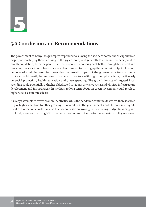

### **5.0 Conclusion and Recommendations**

The government of Kenya has promptly responded to allaying the socioeconomic shock experienced disproportionately by those working in the gig economy and generally low-income earners (hand to mouth population) from the pandemic. This response in building back better, through both fiscal and monetary policy stimulus have to some extent resulted to stirring up the economic output. However, our scenario building exercise shows that the growth impact of the government's fiscal stimulus package could greatly be improved if targeted to sectors with high multiplier effects, particularly on social protection, health, education and green spending. The growth impact of targeted fiscal spending could potentially be higher if dedicated to labour-intensive social and physical infrastructure development and in rural areas. In medium to long term, focus on green investment could result to higher socio-economic effects.

As Kenya attempts to revive economic activities while the pandemic continues to evolve, there is a need to pay higher attention to other growing vulnerabilities. The government needs to not only reignite fiscal consolidation efforts, but also to curb domestic borrowing in the ensuing budget financing and to closely monitor the rising NPL in order to design prompt and effective monetary policy response.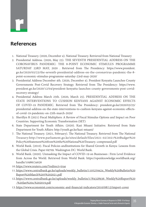## **References**

**r**

- 1. National Treasury. (2020, December 4). National Treasury. Retrieved from National Treasury
- 2. Presidential Address. (2020, May 23). THE SEVENTH PRESIDENTIAL ADDRESS ON THE CORONAVIRUS PANDEMIC: THE 8-POINT ECONOMIC STIMULUS PROGRAMME SATURDAY 23RD MAY, 2020 . Retrieved from The Presidency: https://www.president. go.ke/2020/05/23/the-seventh-presidential-address-on-the-coronavirus-pandemic-the-8 point-economic-stimulus-programme-saturday-23rd-may-2020/
- 3. Presidential Address December 4th. (2020, December 4). President Kenyatta Launches County Governments Post-Covid Recovery Strategy. Retrieved from The Presidency: https://www. president.go.ke/2020/12/04/president-kenyatta-launches-county-governments-post-covidrecovery-strategy/
- 4. Presidential Address March 25th. (2020, March 25). PRESIDENTIAL ADDRESS ON THE STATE INTERVENTIONS TO CUSHION KENYANS AGAINST ECONOMIC EFFECTS OF COVID-19 PANDEMIC. Retrieved from The Presidency: president.go.ke/2020/03/25/ presidential-address-on-the-state-interventions-to-cushion-kenyans-against-economic-effectsof-covid-19-pandemic-on-25th-march-2020/
- 5. Sherillyn R (2021) Fiscal Multipliers: A Review of Fiscal Stimulus Options and Impact on Poor Countries. Supporting Economic Transformation (SET)
- 6. State Department for Youth Affairs. (2020). Kazi Mtaani Initiative. Retrieved from State Department for Youth Affairs: http://youth.go.ke/kazi-mtaani/
- 7. The National Treasury. (2021, February). The National Treasury. Retrieved from The National Treasury:http://www.parliament.go.ke/sites/default/files/2021-02/2021%20Budget%20 Policy%20Statement%20from%20the%20National%20Treasury.-compressed.pdf
- 8. World Bank. (2010). Fiscal Policies andInstitutions for Shared Growth in Kenya: Lessons from the Global Crisis. Paper 69709. Washington DC: World Bank.
- 9. World Bank. (2020). Unmasking the Impact of COVID-19 on Businesses : Firm Level Evidence from Across the World. Retrieved from World Bank: https://openknowledge.worldbank.org/ handle/10986/34626
- 10.https://www.reuters.com/?redirect=true
- 11.https://www.centralbank.go.ke/uploads/weekly\_bulletin/1105259424\_Weekly%20Bulletin%20 Report%20March%205%202021.pdf
- 12.https://www.centralbank.go.ke/uploads/weekly\_bulletin/1784328936\_Weekly%20Report%20 -%20Jan%204,%202019.pdf
- 13.https://www.economist.com/economic-and-financial-indicators/2010/08/12/import-cover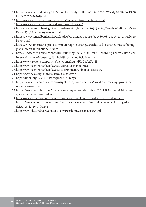- 14.https://www.centralbank.go.ke/uploads/weekly\_bulletin/169961235\_Weekly%20Report%20 Dec%2027,%202019.pdf
- 15.https://www.centralbank.go.ke/statistics/balance-of-payment-statistics/
- 16.https://www.centralbank.go.ke/diaspora-remittances/
- 17.https://www.centralbank.go.ke/uploads/weekly\_bulletin/1105259424\_Weekly%20Bulletin%20 Report%20March%205%202021.pdf
- 18.https://www.centralbank.go.ke/uploads/cbk\_annual\_reports/322580908\_2020%20Annual%20 Report.pdf
- 19.https://www.americanexpress.com/us/foreign-exchange/articles/usd-exchange-rate-affectingglobal-credit-international-trade/
- 20.https://www.thebalance.com/world-currency-3305931#:~:text=According%20to%20the%20 International%20Monetary,t%20hold%20an%20official%20title.
- 21.https://www.reuters.com/article/kenya-markets-idUSL8N2IJ24H
- 22.https://www.centralbank.go.ke/rates/forex-exchange-rates/
- 23.https://www.centralbank.go.ke/statistics/monetary-finance-statistics/
- 24.https://www.csis.org/analysis/kenyas-case-covid-19
- 25.https://unon.org/COVID-19/response-in-kenya
- 26.https://www.bowmanslaw.com/insights/corporate-services/covid-19-tracking-governmentresponse-in-kenya/
- 27.https://www.mondaq.com/operational-impacts-and-strategy/1011992/covid-19-trackinggovernment-response-in-kenya
- 28.https://www2.deloitte.com/ke/en/pages/about-deloitte/articles/ke\_covid\_updates.html
- 29.https://www.who.int/news-room/feature-stories/detail/eu-and-who-working-together-todefeat-covid-19-in-kenya
- 30.https://www.ke.undp.org/content/kenya/en/home/coronavirus.html